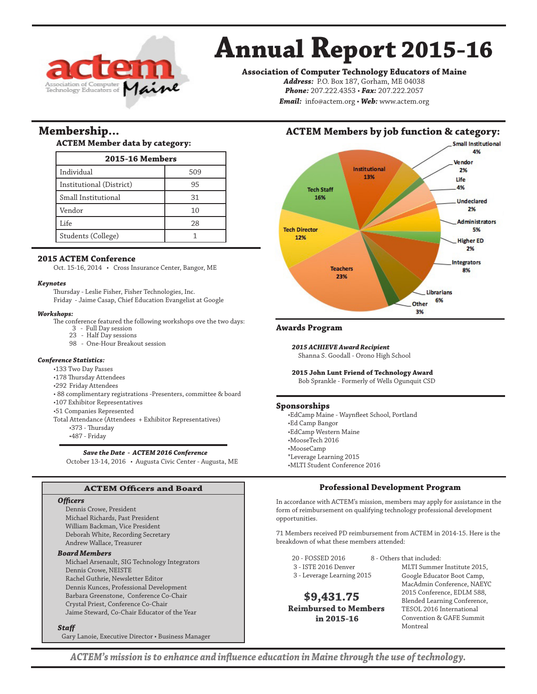

# **Annual Report 2015-16**

**Association of Computer Technology Educators of Maine**

*Address:* P.O. Box 187, Gorham, ME 04038 *Phone:* 207.222.4353 • *Fax:* 207.222.2057 *Email:* info@actem.org • *Web:* www.actem.org

# **Membership...**

## **ACTEM Member data by category:**

| <b>2015-16 Members</b>   |     |  |
|--------------------------|-----|--|
| Individual               | 509 |  |
| Institutional (District) | 95  |  |
| Small Institutional      | 31  |  |
| Vendor                   | 10  |  |
| Life                     | 28  |  |
| Students (College)       |     |  |

## **2015 ACTEM Conference**

Oct. 15-16, 2014 • Cross Insurance Center, Bangor, ME

#### *Keynotes*

Thursday - Leslie Fisher, Fisher Technologies, Inc.

Friday - Jaime Casap, Chief Education Evangelist at Google

#### *Workshops:*

The conference featured the following workshops ove the two days:

- 3 Full Day session
- 23 Half Day sessions 98 - One-Hour Breakout session

### *Conference Statistics:*

- •133 Two Day Passes
- •178 Thursday Attendees
- •292 Friday Attendees
- 88 complimentary registrations -Presenters, committee & board
- •107 Exhibitor Representatives
- •51 Companies Represented
- Total Attendance (Attendees + Exhibitor Representatives)
	- •373 Thursday
	- •487 Friday

## *Save the Date - ACTEM 2016 Conference*

October 13-14, 2016 • Augusta Civic Center - Augusta, ME

# **ACTEM Officers and Board**

## *Officers*

Dennis Crowe, President Michael Richards, Past President William Backman, Vice President Deborah White, Recording Secretary Andrew Wallace, Treasurer

## *Board Members*

Michael Arsenault, SIG Technology Integrators Dennis Crowe, NEISTE Rachel Guthrie, Newsletter Editor Dennis Kunces, Professional Development Barbara Greenstone, Conference Co-Chair Crystal Priest, Conference Co-Chair Jaime Steward, Co-Chair Educator of the Year

#### *Staff*

Gary Lanoie, Executive Director • Business Manager

# **ACTEM Members by job function & category:**



## **Awards Program**

*2015 ACHIEVE Award Recipient*

Shanna S. Goodall - Orono High School

**2015 John Lunt Friend of Technology Award**

Bob Sprankle - Formerly of Wells Ogunquit CSD

### **Sponsorships**

•EdCamp Maine - Waynfleet School, Portland •Ed Camp Bangor •EdCamp Western Maine •MooseTech 2016 •MooseCamp \*Leverage Learning 2015 •MLTI Student Conference 2016

# **Professional Development Program**

In accordance with ACTEM's mission, members may apply for assistance in the form of reimbursement on qualifying technology professional development opportunities.

71 Members received PD reimbursement from ACTEM in 2014-15. Here is the breakdown of what these members attended:

- 20 FOSSED 2016 8 Others that included: 3 - ISTE 2016 Denver
- 3 Leverage Learning 2015

 **\$9,431.75 Reimbursed to Members in 2015-16**

MLTI Summer Institute 2015, Google Educator Boot Camp, MacAdmin Conference, NAEYC 2015 Conference, EDLM 588, Blended Learning Conference, TESOL 2016 International Convention & GAFE Summit Montreal

*ACTEM's mission is to enhance and influence education in Maine through the use of technology.*